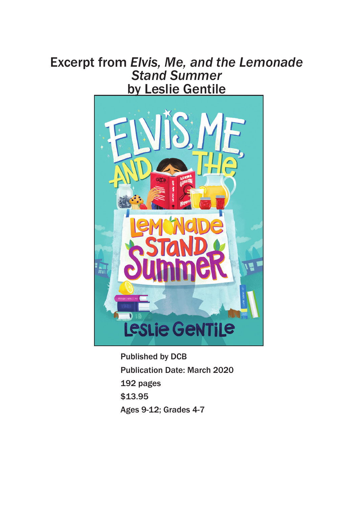## Excerpt from *Elvis, Me, and the Lemonade Stand Summer* by Leslie Gentile



Published by DCB Publication Date: March 2020 192 pages \$13.95 Ages 9-12; Grades 4-7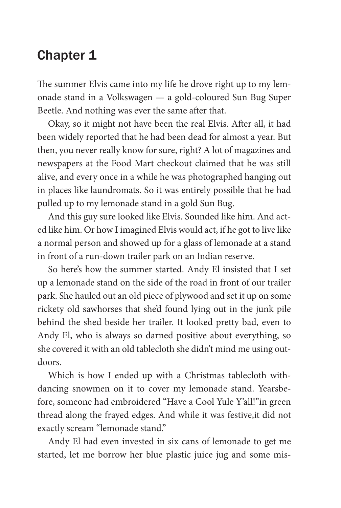## Chapter 1

The summer Elvis came into my life he drove right up to my lemonade stand in a Volkswagen — a gold-coloured Sun Bug Super Beetle. And nothing was ever the same after that.

Okay, so it might not have been the real Elvis. After all, it had been widely reported that he had been dead for almost a year. But then, you never really know for sure, right? A lot of magazines and newspapers at the Food Mart checkout claimed that he was still alive, and every once in a while he was photographed hanging out in places like laundromats. So it was entirely possible that he had pulled up to my lemonade stand in a gold Sun Bug.

And this guy sure looked like Elvis. Sounded like him. And acted like him. Or how I imagined Elvis would act, if he got to live like a normal person and showed up for a glass of lemonade at a stand in front of a run-down trailer park on an Indian reserve.

So here's how the summer started. Andy El insisted that I set up a lemonade stand on the side of the road in front of our trailer park. She hauled out an old piece of plywood and set it up on some rickety old sawhorses that she'd found lying out in the junk pile behind the shed beside her trailer. It looked pretty bad, even to Andy El, who is always so darned positive about everything, so she covered it with an old tablecloth she didn't mind me using outdoors.

Which is how I ended up with a Christmas tablecloth withdancing snowmen on it to cover my lemonade stand. Yearsbefore, someone had embroidered "Have a Cool Yule Y'all!"in green thread along the frayed edges. And while it was festive,it did not exactly scream "lemonade stand."

Andy El had even invested in six cans of lemonade to get me started, let me borrow her blue plastic juice jug and some mis-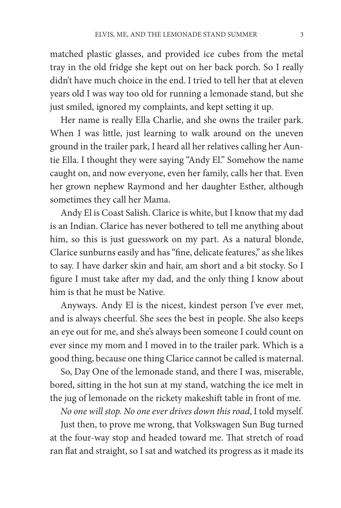matched plastic glasses, and provided ice cubes from the metal tray in the old fridge she kept out on her back porch. So I really didn't have much choice in the end. I tried to tell her that at eleven years old I was way too old for running a lemonade stand, but she just smiled, ignored my complaints, and kept setting it up.

Her name is really Ella Charlie, and she owns the trailer park. When I was little, just learning to walk around on the uneven ground in the trailer park, I heard all her relatives calling her Auntie Ella. I thought they were saying "Andy El." Somehow the name caught on, and now everyone, even her family, calls her that. Even her grown nephew Raymond and her daughter Esther, although sometimes they call her Mama.

Andy El is Coast Salish. Clarice is white, but I know that my dad is an Indian. Clarice has never bothered to tell me anything about him, so this is just guesswork on my part. As a natural blonde, Clarice sunburns easily and has "fine, delicate features," as she likes to say. I have darker skin and hair, am short and a bit stocky. So I figure I must take after my dad, and the only thing I know about him is that he must be Native.

Anyways. Andy El is the nicest, kindest person I've ever met, and is always cheerful. She sees the best in people. She also keeps an eye out for me, and she's always been someone I could count on ever since my mom and I moved in to the trailer park. Which is a good thing, because one thing Clarice cannot be called is maternal.

So, Day One of the lemonade stand, and there I was, miserable, bored, sitting in the hot sun at my stand, watching the ice melt in the jug of lemonade on the rickety makeshift table in front of me.

*No one will stop. No one ever drives down this road*, I told myself.

Just then, to prove me wrong, that Volkswagen Sun Bug turned at the four-way stop and headed toward me. That stretch of road ran flat and straight, so I sat and watched its progress as it made its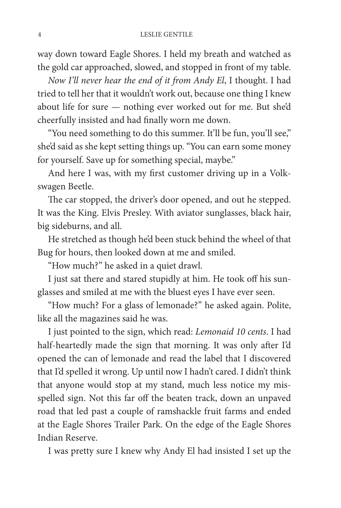way down toward Eagle Shores. I held my breath and watched as the gold car approached, slowed, and stopped in front of my table.

*Now I'll never hear the end of it from Andy El*, I thought. I had tried to tell her that it wouldn't work out, because one thing I knew about life for sure — nothing ever worked out for me. But she'd cheerfully insisted and had finally worn me down.

"You need something to do this summer. It'll be fun, you'll see," she'd said as she kept setting things up. "You can earn some money for yourself. Save up for something special, maybe."

And here I was, with my first customer driving up in a Volkswagen Beetle.

The car stopped, the driver's door opened, and out he stepped. It was the King. Elvis Presley. With aviator sunglasses, black hair, big sideburns, and all.

He stretched as though he'd been stuck behind the wheel of that Bug for hours, then looked down at me and smiled.

"How much?" he asked in a quiet drawl.

I just sat there and stared stupidly at him. He took off his sunglasses and smiled at me with the bluest eyes I have ever seen.

"How much? For a glass of lemonade?" he asked again. Polite, like all the magazines said he was.

I just pointed to the sign, which read: *Lemonaid 10 cents*. I had half-heartedly made the sign that morning. It was only after I'd opened the can of lemonade and read the label that I discovered that I'd spelled it wrong. Up until now I hadn't cared. I didn't think that anyone would stop at my stand, much less notice my misspelled sign. Not this far off the beaten track, down an unpaved road that led past a couple of ramshackle fruit farms and ended at the Eagle Shores Trailer Park. On the edge of the Eagle Shores Indian Reserve.

I was pretty sure I knew why Andy El had insisted I set up the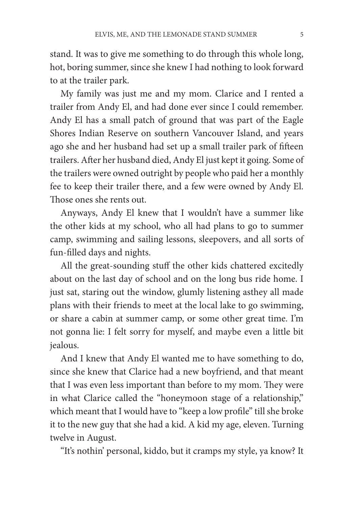stand. It was to give me something to do through this whole long, hot, boring summer, since she knew I had nothing to look forward to at the trailer park.

My family was just me and my mom. Clarice and I rented a trailer from Andy El, and had done ever since I could remember. Andy El has a small patch of ground that was part of the Eagle Shores Indian Reserve on southern Vancouver Island, and years ago she and her husband had set up a small trailer park of fifteen trailers. After her husband died, Andy El just kept it going. Some of the trailers were owned outright by people who paid her a monthly fee to keep their trailer there, and a few were owned by Andy El. Those ones she rents out.

Anyways, Andy El knew that I wouldn't have a summer like the other kids at my school, who all had plans to go to summer camp, swimming and sailing lessons, sleepovers, and all sorts of fun-filled days and nights.

All the great-sounding stuff the other kids chattered excitedly about on the last day of school and on the long bus ride home. I just sat, staring out the window, glumly listening asthey all made plans with their friends to meet at the local lake to go swimming, or share a cabin at summer camp, or some other great time. I'm not gonna lie: I felt sorry for myself, and maybe even a little bit jealous.

And I knew that Andy El wanted me to have something to do, since she knew that Clarice had a new boyfriend, and that meant that I was even less important than before to my mom. They were in what Clarice called the "honeymoon stage of a relationship," which meant that I would have to "keep a low profile" till she broke it to the new guy that she had a kid. A kid my age, eleven. Turning twelve in August.

"It's nothin' personal, kiddo, but it cramps my style, ya know? It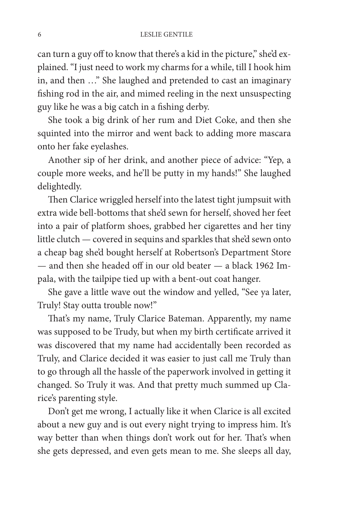can turn a guy off to know that there's a kid in the picture," she'd explained. "I just need to work my charms for a while, till I hook him in, and then …" She laughed and pretended to cast an imaginary fishing rod in the air, and mimed reeling in the next unsuspecting guy like he was a big catch in a fishing derby.

She took a big drink of her rum and Diet Coke, and then she squinted into the mirror and went back to adding more mascara onto her fake eyelashes.

Another sip of her drink, and another piece of advice: "Yep, a couple more weeks, and he'll be putty in my hands!" She laughed delightedly.

Then Clarice wriggled herself into the latest tight jumpsuit with extra wide bell-bottoms that she'd sewn for herself, shoved her feet into a pair of platform shoes, grabbed her cigarettes and her tiny little clutch — covered in sequins and sparkles that she'd sewn onto a cheap bag she'd bought herself at Robertson's Department Store — and then she headed off in our old beater — a black 1962 Impala, with the tailpipe tied up with a bent-out coat hanger.

She gave a little wave out the window and yelled, "See ya later, Truly! Stay outta trouble now!"

That's my name, Truly Clarice Bateman. Apparently, my name was supposed to be Trudy, but when my birth certificate arrived it was discovered that my name had accidentally been recorded as Truly, and Clarice decided it was easier to just call me Truly than to go through all the hassle of the paperwork involved in getting it changed. So Truly it was. And that pretty much summed up Clarice's parenting style.

Don't get me wrong, I actually like it when Clarice is all excited about a new guy and is out every night trying to impress him. It's way better than when things don't work out for her. That's when she gets depressed, and even gets mean to me. She sleeps all day,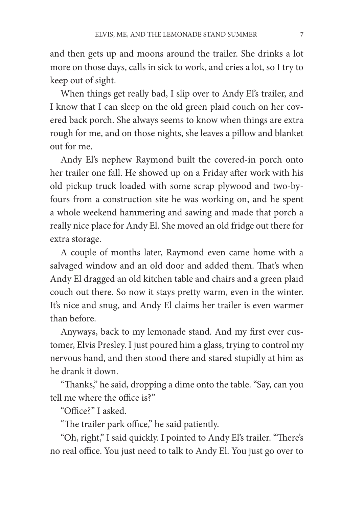and then gets up and moons around the trailer. She drinks a lot more on those days, calls in sick to work, and cries a lot, so I try to keep out of sight.

When things get really bad, I slip over to Andy El's trailer, and I know that I can sleep on the old green plaid couch on her covered back porch. She always seems to know when things are extra rough for me, and on those nights, she leaves a pillow and blanket out for me.

Andy El's nephew Raymond built the covered-in porch onto her trailer one fall. He showed up on a Friday after work with his old pickup truck loaded with some scrap plywood and two-byfours from a construction site he was working on, and he spent a whole weekend hammering and sawing and made that porch a really nice place for Andy El. She moved an old fridge out there for extra storage.

A couple of months later, Raymond even came home with a salvaged window and an old door and added them. That's when Andy El dragged an old kitchen table and chairs and a green plaid couch out there. So now it stays pretty warm, even in the winter. It's nice and snug, and Andy El claims her trailer is even warmer than before.

Anyways, back to my lemonade stand. And my first ever customer, Elvis Presley. I just poured him a glass, trying to control my nervous hand, and then stood there and stared stupidly at him as he drank it down.

"Thanks," he said, dropping a dime onto the table. "Say, can you tell me where the office is?"

"Office?" I asked.

"The trailer park office," he said patiently.

"Oh, right," I said quickly. I pointed to Andy El's trailer. "There's no real office. You just need to talk to Andy El. You just go over to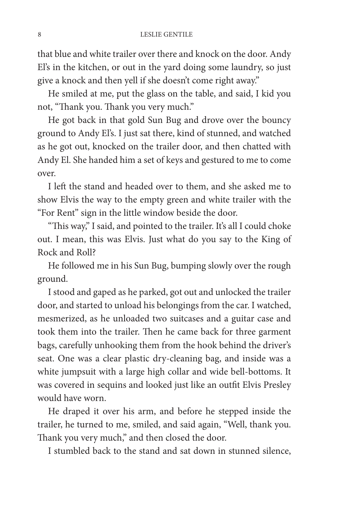that blue and white trailer over there and knock on the door. Andy El's in the kitchen, or out in the yard doing some laundry, so just give a knock and then yell if she doesn't come right away."

He smiled at me, put the glass on the table, and said, I kid you not, "Thank you. Thank you very much."

He got back in that gold Sun Bug and drove over the bouncy ground to Andy El's. I just sat there, kind of stunned, and watched as he got out, knocked on the trailer door, and then chatted with Andy El. She handed him a set of keys and gestured to me to come over.

I left the stand and headed over to them, and she asked me to show Elvis the way to the empty green and white trailer with the "For Rent" sign in the little window beside the door.

"This way," I said, and pointed to the trailer. It's all I could choke out. I mean, this was Elvis. Just what do you say to the King of Rock and Roll?

He followed me in his Sun Bug, bumping slowly over the rough ground.

I stood and gaped as he parked, got out and unlocked the trailer door, and started to unload his belongings from the car. I watched, mesmerized, as he unloaded two suitcases and a guitar case and took them into the trailer. Then he came back for three garment bags, carefully unhooking them from the hook behind the driver's seat. One was a clear plastic dry-cleaning bag, and inside was a white jumpsuit with a large high collar and wide bell-bottoms. It was covered in sequins and looked just like an outfit Elvis Presley would have worn.

He draped it over his arm, and before he stepped inside the trailer, he turned to me, smiled, and said again, "Well, thank you. Thank you very much," and then closed the door.

I stumbled back to the stand and sat down in stunned silence,